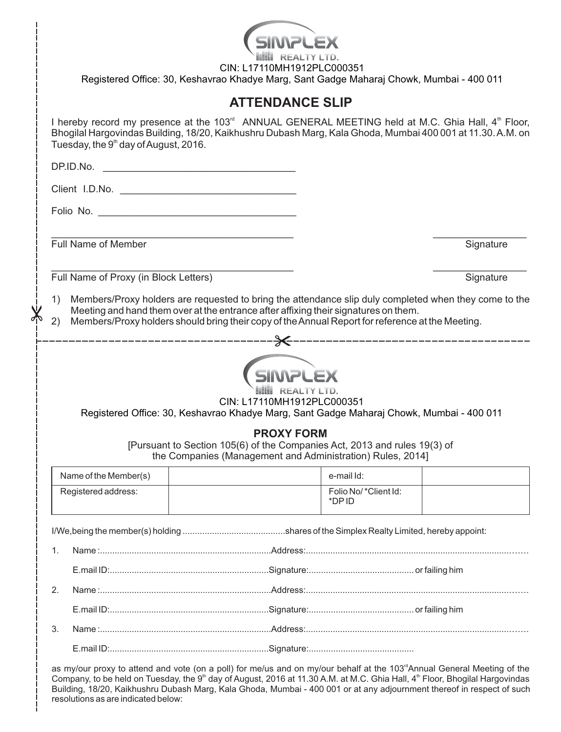|                                                                                                                                                              | CIN: L17110MH1912PLC000351<br>Registered Office: 30, Keshavrao Khadye Marg, Sant Gadge Maharaj Chowk, Mumbai - 400 011                                                                                                                                                                        |  |                               |           |  |  |  |
|--------------------------------------------------------------------------------------------------------------------------------------------------------------|-----------------------------------------------------------------------------------------------------------------------------------------------------------------------------------------------------------------------------------------------------------------------------------------------|--|-------------------------------|-----------|--|--|--|
|                                                                                                                                                              | <b>ATTENDANCE SLIP</b>                                                                                                                                                                                                                                                                        |  |                               |           |  |  |  |
|                                                                                                                                                              | I hereby record my presence at the 103 <sup>rd</sup> ANNUAL GENERAL MEETING held at M.C. Ghia Hall, 4 <sup>th</sup> Floor,<br>Bhogilal Hargovindas Building, 18/20, Kaikhushru Dubash Marg, Kala Ghoda, Mumbai 400 001 at 11.30. A.M. on<br>Tuesday, the 9 <sup>th</sup> day of August, 2016. |  |                               |           |  |  |  |
|                                                                                                                                                              |                                                                                                                                                                                                                                                                                               |  |                               |           |  |  |  |
|                                                                                                                                                              |                                                                                                                                                                                                                                                                                               |  |                               |           |  |  |  |
|                                                                                                                                                              |                                                                                                                                                                                                                                                                                               |  |                               |           |  |  |  |
|                                                                                                                                                              |                                                                                                                                                                                                                                                                                               |  |                               |           |  |  |  |
|                                                                                                                                                              | Full Name of Member                                                                                                                                                                                                                                                                           |  |                               | Signature |  |  |  |
|                                                                                                                                                              | Full Name of Proxy (in Block Letters)                                                                                                                                                                                                                                                         |  |                               | Signature |  |  |  |
| 1)                                                                                                                                                           |                                                                                                                                                                                                                                                                                               |  |                               |           |  |  |  |
|                                                                                                                                                              | Members/Proxy holders are requested to bring the attendance slip duly completed when they come to the<br>Meeting and hand them over at the entrance after affixing their signatures on them.                                                                                                  |  |                               |           |  |  |  |
| Members/Proxy holders should bring their copy of the Annual Report for reference at the Meeting.<br>2)                                                       |                                                                                                                                                                                                                                                                                               |  |                               |           |  |  |  |
| CIN: L17110MH1912PLC000351<br>Registered Office: 30, Keshavrao Khadye Marg, Sant Gadge Maharaj Chowk, Mumbai - 400 011                                       |                                                                                                                                                                                                                                                                                               |  |                               |           |  |  |  |
| <b>PROXY FORM</b><br>[Pursuant to Section 105(6) of the Companies Act, 2013 and rules 19(3) of<br>the Companies (Management and Administration) Rules, 2014] |                                                                                                                                                                                                                                                                                               |  |                               |           |  |  |  |
|                                                                                                                                                              | Name of the Member(s)                                                                                                                                                                                                                                                                         |  | e-mail Id:                    |           |  |  |  |
|                                                                                                                                                              | Registered address:                                                                                                                                                                                                                                                                           |  | Folio No/*Client Id:<br>*DPID |           |  |  |  |
|                                                                                                                                                              |                                                                                                                                                                                                                                                                                               |  |                               |           |  |  |  |
| 1.                                                                                                                                                           |                                                                                                                                                                                                                                                                                               |  |                               |           |  |  |  |
|                                                                                                                                                              |                                                                                                                                                                                                                                                                                               |  |                               |           |  |  |  |
| 2.                                                                                                                                                           |                                                                                                                                                                                                                                                                                               |  |                               |           |  |  |  |
|                                                                                                                                                              |                                                                                                                                                                                                                                                                                               |  |                               |           |  |  |  |
| 3.                                                                                                                                                           |                                                                                                                                                                                                                                                                                               |  |                               |           |  |  |  |
|                                                                                                                                                              |                                                                                                                                                                                                                                                                                               |  |                               |           |  |  |  |

as my/our proxy to attend and vote (on a poll) for me/us and on my/our behalf at the 103"Annual General Meeting of the Company, to be held on Tuesday, the 9<sup>th</sup> day of August, 2016 at 11.30 A.M. at M.C. Ghia Hall, 4<sup>th</sup> Floor, Bhogilal Hargovindas Building, 18/20, Kaikhushru Dubash Marg, Kala Ghoda, Mumbai - 400 001 or at any adjournment thereof in respect of such resolutions as are indicated below: